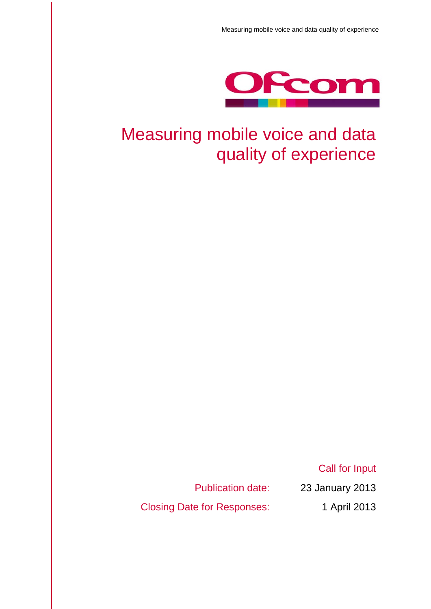

# Measuring mobile voice and data quality of experience

Publication date: 23 January 2013

Call for Input

Closing Date for Responses: 1 April 2013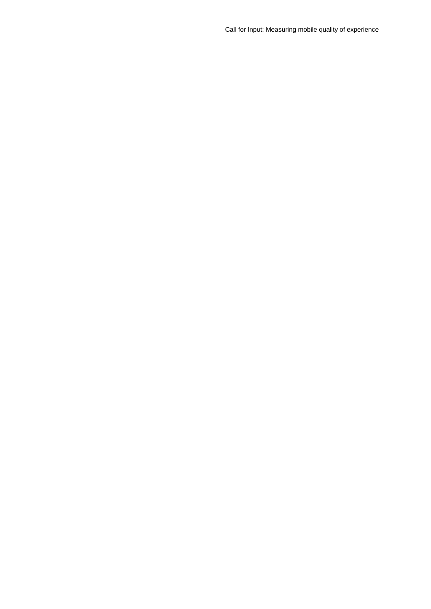Call for Input: Measuring mobile quality of experience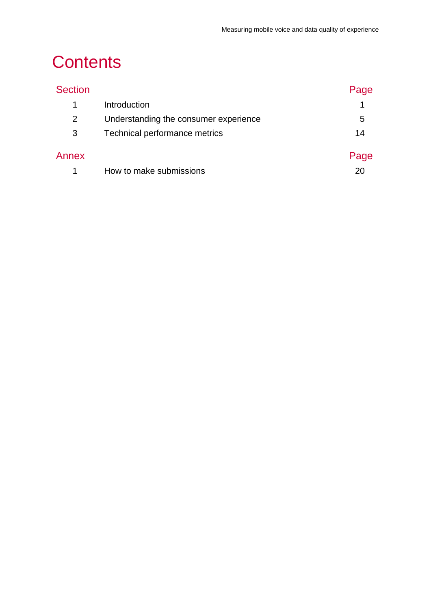# **Contents**

| <b>Section</b> |                                       | Page |
|----------------|---------------------------------------|------|
|                | Introduction                          |      |
| 2              | Understanding the consumer experience | 5    |
| 3              | Technical performance metrics         | 14   |
| Annex          |                                       | Page |
|                | How to make submissions               | 20   |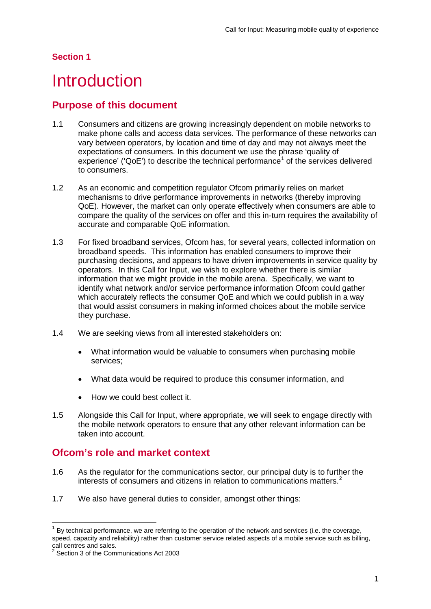### **Section 1**

## <span id="page-3-0"></span>**Introduction**

## **Purpose of this document**

- 1.1 Consumers and citizens are growing increasingly dependent on mobile networks to make phone calls and access data services. The performance of these networks can vary between operators, by location and time of day and may not always meet the expectations of consumers. In this document we use the phrase 'quality of experience' (' $QoE$ ') to describe the technical performance<sup>[1](#page-3-1)</sup> of the services delivered to consumers.
- 1.2 As an economic and competition regulator Ofcom primarily relies on market mechanisms to drive performance improvements in networks (thereby improving QoE). However, the market can only operate effectively when consumers are able to compare the quality of the services on offer and this in-turn requires the availability of accurate and comparable QoE information.
- 1.3 For fixed broadband services, Ofcom has, for several years, collected information on broadband speeds. This information has enabled consumers to improve their purchasing decisions, and appears to have driven improvements in service quality by operators. In this Call for Input, we wish to explore whether there is similar information that we might provide in the mobile arena. Specifically, we want to identify what network and/or service performance information Ofcom could gather which accurately reflects the consumer QoE and which we could publish in a way that would assist consumers in making informed choices about the mobile service they purchase.
- 1.4 We are seeking views from all interested stakeholders on:
	- What information would be valuable to consumers when purchasing mobile services;
	- What data would be required to produce this consumer information, and
	- How we could best collect it.
- 1.5 Alongside this Call for Input, where appropriate, we will seek to engage directly with the mobile network operators to ensure that any other relevant information can be taken into account.

## **Ofcom's role and market context**

- 1.6 As the regulator for the communications sector, our principal duty is to further the interests of consumers and citizens in relation to communications matters.<sup>[2](#page-3-2)</sup>
- 1.7 We also have general duties to consider, amongst other things:

<span id="page-3-1"></span> $1$  By technical performance, we are referring to the operation of the network and services (i.e. the coverage, speed, capacity and reliability) rather than customer service related aspects of a mobile service such as billing, call centres and sales.<br><sup>2</sup> Section 3 of the Communications Act 2003

<span id="page-3-2"></span>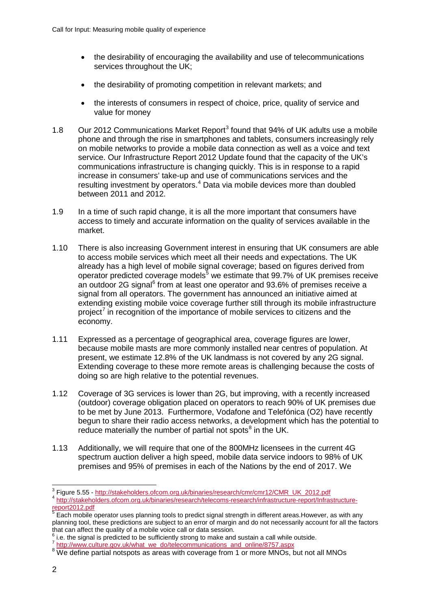- the desirability of encouraging the availability and use of telecommunications services throughout the UK;
- the desirability of promoting competition in relevant markets: and
- the interests of consumers in respect of choice, price, quality of service and value for money
- 1.8 Our 2012 Communications Market Report<sup>[3](#page-4-0)</sup> found that 94% of UK adults use a mobile phone and through the rise in smartphones and tablets, consumers increasingly rely on mobile networks to provide a mobile data connection as well as a voice and text service. Our Infrastructure Report 2012 Update found that the capacity of the UK's communications infrastructure is changing quickly. This is in response to a rapid increase in consumers' take-up and use of communications services and the resulting investment by operators.<sup>[4](#page-4-1)</sup> Data via mobile devices more than doubled between 2011 and 2012.
- 1.9 In a time of such rapid change, it is all the more important that consumers have access to timely and accurate information on the quality of services available in the market.
- 1.10 There is also increasing Government interest in ensuring that UK consumers are able to access mobile services which meet all their needs and expectations. The UK already has a high level of mobile signal coverage; based on figures derived from operator predicted coverage models<sup> $5$ </sup> we estimate that 99.7% of UK premises receive an outdoor 2G signal $6$  from at least one operator and 93.6% of premises receive a signal from all operators. The government has announced an initiative aimed at extending existing mobile voice coverage further still through its mobile infrastructure project<sup>[7](#page-4-4)</sup> in recognition of the importance of mobile services to citizens and the economy.
- 1.11 Expressed as a percentage of geographical area, coverage figures are lower, because mobile masts are more commonly installed near centres of population. At present, we estimate 12.8% of the UK landmass is not covered by any 2G signal. Extending coverage to these more remote areas is challenging because the costs of doing so are high relative to the potential revenues.
- 1.12 Coverage of 3G services is lower than 2G, but improving, with a recently increased (outdoor) coverage obligation placed on operators to reach 90% of UK premises due to be met by June 2013. Furthermore, Vodafone and Telefónica (O2) have recently begun to share their radio access networks, a development which has the potential to reduce materially the number of partial not spots $8$  in the UK.
- 1.13 Additionally, we will require that one of the 800MHz licensees in the current 4G spectrum auction deliver a high speed, mobile data service indoors to 98% of UK premises and 95% of premises in each of the Nations by the end of 2017. We

<span id="page-4-1"></span><span id="page-4-0"></span><sup>&</sup>lt;sup>3</sup> Figure 5.55 - [http://stakeholders.ofcom.org.uk/binaries/research/cmr/cmr12/CMR\\_UK\\_2012.pdf](http://stakeholders.ofcom.org.uk/binaries/research/cmr/cmr12/CMR_UK_2012.pdf)<br><sup>4</sup> [http://stakeholders.ofcom.org.uk/binaries/research/telecoms-research/infrastructure-report/Infrastructure](http://stakeholders.ofcom.org.uk/binaries/research/telecoms-research/infrastructure-report/Infrastructure-report2012.pdf)[report2012.pdf](http://stakeholders.ofcom.org.uk/binaries/research/telecoms-research/infrastructure-report/Infrastructure-report2012.pdf)

<span id="page-4-2"></span> $5$  Each mobile operator uses planning tools to predict signal strength in different areas. However, as with any planning tool, these predictions are subject to an error of margin and do not necessarily account for all the factors that can affect the quality of a mobile voice call or data session.

<span id="page-4-3"></span><sup>6</sup> i.e. the signal is predicted to be sufficiently strong to make and sustain a call while outside.<br><sup>7</sup> [http://www.culture.gov.uk/what\\_we\\_do/telecommunications\\_and\\_online/8757.aspx](http://www.culture.gov.uk/what_we_do/telecommunications_and_online/8757.aspx)

<span id="page-4-5"></span><span id="page-4-4"></span><sup>&</sup>lt;sup>8</sup> We define partial notspots as areas with coverage from 1 or more MNOs, but not all MNOs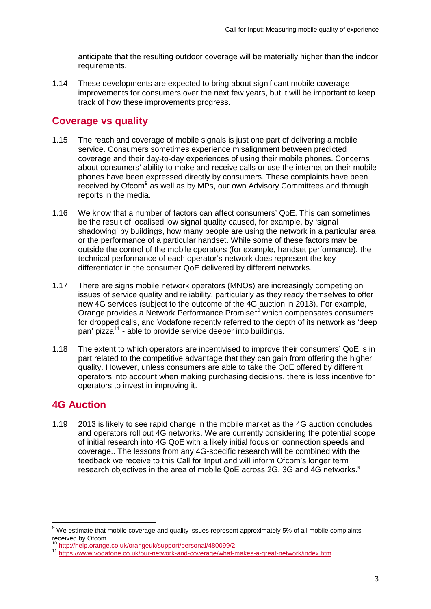anticipate that the resulting outdoor coverage will be materially higher than the indoor requirements.

1.14 These developments are expected to bring about significant mobile coverage improvements for consumers over the next few years, but it will be important to keep track of how these improvements progress.

### **Coverage vs quality**

- 1.15 The reach and coverage of mobile signals is just one part of delivering a mobile service. Consumers sometimes experience misalignment between predicted coverage and their day-to-day experiences of using their mobile phones. Concerns about consumers' ability to make and receive calls or use the internet on their mobile phones have been expressed directly by consumers. These complaints have been received by Ofcom<sup>[9](#page-5-0)</sup> as well as by MPs, our own Advisory Committees and through reports in the media.
- 1.16 We know that a number of factors can affect consumers' QoE. This can sometimes be the result of localised low signal quality caused, for example, by 'signal shadowing' by buildings, how many people are using the network in a particular area or the performance of a particular handset. While some of these factors may be outside the control of the mobile operators (for example, handset performance), the technical performance of each operator's network does represent the key differentiator in the consumer QoE delivered by different networks.
- 1.17 There are signs mobile network operators (MNOs) are increasingly competing on issues of service quality and reliability, particularly as they ready themselves to offer new 4G services (subject to the outcome of the 4G auction in 2013). For example, Orange provides a Network Performance Promise<sup>[10](#page-5-1)</sup> which compensates consumers for dropped calls, and Vodafone recently referred to the depth of its network as 'deep pan' pizza<sup>[11](#page-5-2)</sup> - able to provide service deeper into buildings.
- 1.18 The extent to which operators are incentivised to improve their consumers' QoE is in part related to the competitive advantage that they can gain from offering the higher quality. However, unless consumers are able to take the QoE offered by different operators into account when making purchasing decisions, there is less incentive for operators to invest in improving it.

## **4G Auction**

1.19 2013 is likely to see rapid change in the mobile market as the 4G auction concludes and operators roll out 4G networks. We are currently considering the potential scope of initial research into 4G QoE with a likely initial focus on connection speeds and coverage.. The lessons from any 4G-specific research will be combined with the feedback we receive to this Call for Input and will inform Ofcom's longer term research objectives in the area of mobile QoE across 2G, 3G and 4G networks."

<span id="page-5-0"></span> $9$  We estimate that mobile coverage and quality issues represent approximately 5% of all mobile complaints received by Ofcom

<span id="page-5-2"></span><span id="page-5-1"></span><sup>10</sup> <http://help.orange.co.uk/orangeuk/support/personal/480099/2><br>11 <https://www.vodafone.co.uk/our-network-and-coverage/what-makes-a-great-network/index.htm>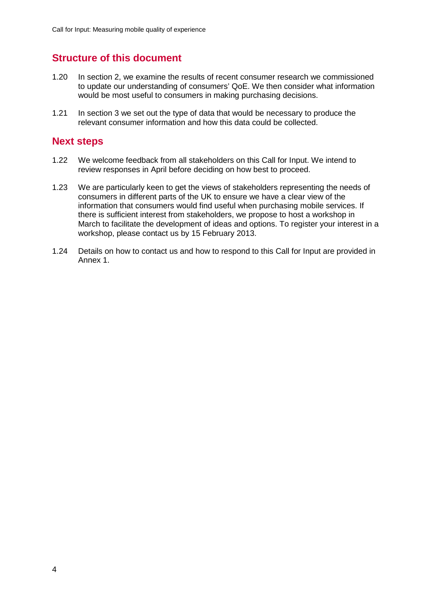## **Structure of this document**

- 1.20 In section 2, we examine the results of recent consumer research we commissioned to update our understanding of consumers' QoE. We then consider what information would be most useful to consumers in making purchasing decisions.
- 1.21 In section 3 we set out the type of data that would be necessary to produce the relevant consumer information and how this data could be collected.

## **Next steps**

- 1.22 We welcome feedback from all stakeholders on this Call for Input. We intend to review responses in April before deciding on how best to proceed.
- 1.23 We are particularly keen to get the views of stakeholders representing the needs of consumers in different parts of the UK to ensure we have a clear view of the information that consumers would find useful when purchasing mobile services. If there is sufficient interest from stakeholders, we propose to host a workshop in March to facilitate the development of ideas and options. To register your interest in a workshop, please contact us by 15 February 2013.
- 1.24 Details on how to contact us and how to respond to this Call for Input are provided in Annex 1.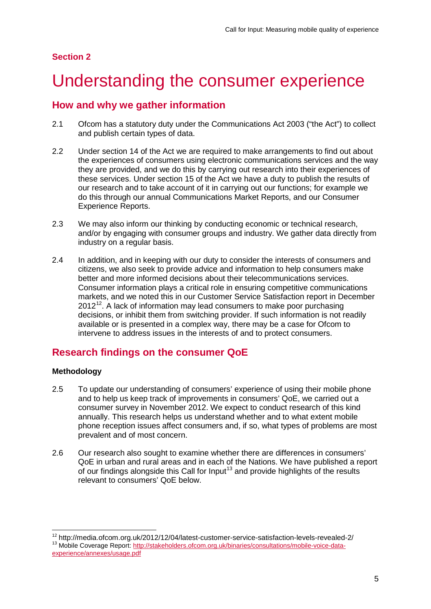## **Section 2**

## <span id="page-7-0"></span>Understanding the consumer experience

## **How and why we gather information**

- 2.1 Ofcom has a statutory duty under the Communications Act 2003 ("the Act") to collect and publish certain types of data.
- 2.2 Under section 14 of the Act we are required to make arrangements to find out about the experiences of consumers using electronic communications services and the way they are provided, and we do this by carrying out research into their experiences of these services. Under section 15 of the Act we have a duty to publish the results of our research and to take account of it in carrying out our functions; for example we do this through our annual Communications Market Reports, and our Consumer Experience Reports.
- 2.3 We may also inform our thinking by conducting economic or technical research, and/or by engaging with consumer groups and industry. We gather data directly from industry on a regular basis.
- 2.4 In addition, and in keeping with our duty to consider the interests of consumers and citizens, we also seek to provide advice and information to help consumers make better and more informed decisions about their telecommunications services. Consumer information plays a critical role in ensuring competitive communications markets, and we noted this in our Customer Service Satisfaction report in December  $2012^{12}$ . A lack of information may lead consumers to make poor purchasing decisions, or inhibit them from switching provider. If such information is not readily available or is presented in a complex way, there may be a case for Ofcom to intervene to address issues in the interests of and to protect consumers.

## **Research findings on the consumer QoE**

#### **Methodology**

- 2.5 To update our understanding of consumers' experience of using their mobile phone and to help us keep track of improvements in consumers' QoE, we carried out a consumer survey in November 2012. We expect to conduct research of this kind annually. This research helps us understand whether and to what extent mobile phone reception issues affect consumers and, if so, what types of problems are most prevalent and of most concern.
- 2.6 Our research also sought to examine whether there are differences in consumers' QoE in urban and rural areas and in each of the Nations. We have published a report of our findings alongside this Call for Input<sup>[13](#page-7-2)</sup> and provide highlights of the results relevant to consumers' QoE below.

<span id="page-7-2"></span><span id="page-7-1"></span><sup>&</sup>lt;sup>12</sup> http://media.ofcom.org.uk/2012/12/04/latest-customer-service-satisfaction-levels-revealed-2/<br><sup>13</sup> Mobile Coverage Report[: http://stakeholders.ofcom.org.uk/binaries/consultations/mobile-voice-data](http://stakeholders.ofcom.org.uk/binaries/consultations/mobile-voice-data-experience/annexes/usage.pdf)[experience/annexes/usage.pdf](http://stakeholders.ofcom.org.uk/binaries/consultations/mobile-voice-data-experience/annexes/usage.pdf)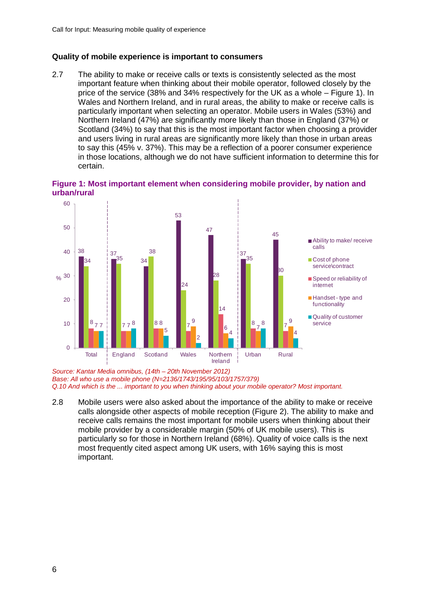#### **Quality of mobile experience is important to consumers**

2.7 The ability to make or receive calls or texts is consistently selected as the most important feature when thinking about their mobile operator, followed closely by the price of the service (38% and 34% respectively for the UK as a whole – Figure 1). In Wales and Northern Ireland, and in rural areas, the ability to make or receive calls is particularly important when selecting an operator. Mobile users in Wales (53%) and Northern Ireland (47%) are significantly more likely than those in England (37%) or Scotland (34%) to say that this is the most important factor when choosing a provider and users living in rural areas are significantly more likely than those in urban areas to say this (45% v. 37%). This may be a reflection of a poorer consumer experience in those locations, although we do not have sufficient information to determine this for certain.





*Source: Kantar Media omnibus, (14th – 20th November 2012) Base: All who use a mobile phone (N=2136/1743/195/95/103/1757/379) Q.10 And which is the ... important to you when thinking about your mobile operator? Most important.* 

2.8 Mobile users were also asked about the importance of the ability to make or receive calls alongside other aspects of mobile reception (Figure 2). The ability to make and receive calls remains the most important for mobile users when thinking about their mobile provider by a considerable margin (50% of UK mobile users). This is particularly so for those in Northern Ireland (68%). Quality of voice calls is the next most frequently cited aspect among UK users, with 16% saying this is most important.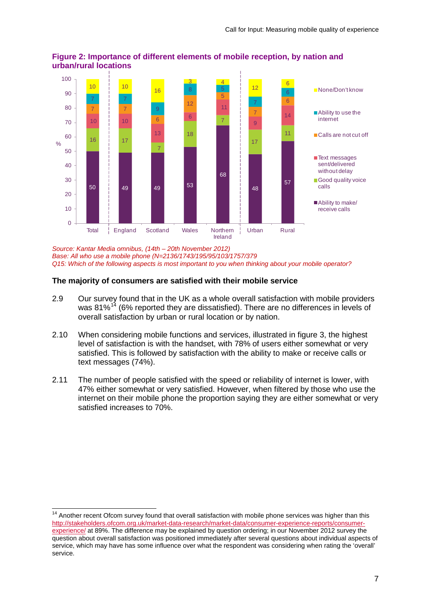

**Figure 2: Importance of different elements of mobile reception, by nation and urban/rural locations**

*Source: Kantar Media omnibus, (14th – 20th November 2012) Base: All who use a mobile phone (N=2136/1743/195/95/103/1757/379 Q15: Which of the following aspects is most important to you when thinking about your mobile operator?* 

#### **The majority of consumers are satisfied with their mobile service**

- 2.9 Our survey found that in the UK as a whole overall satisfaction with mobile providers was  $81\%$ <sup>[14](#page-9-0)</sup> (6% reported they are dissatisfied). There are no differences in levels of overall satisfaction by urban or rural location or by nation.
- 2.10 When considering mobile functions and services, illustrated in figure 3, the highest level of satisfaction is with the handset, with 78% of users either somewhat or very satisfied. This is followed by satisfaction with the ability to make or receive calls or text messages (74%).
- 2.11 The number of people satisfied with the speed or reliability of internet is lower, with 47% either somewhat or very satisfied. However, when filtered by those who use the internet on their mobile phone the proportion saying they are either somewhat or very satisfied increases to 70%.

<span id="page-9-0"></span><sup>&</sup>lt;sup>14</sup> Another recent Ofcom survev found that overall satisfaction with mobile phone services was higher than this [http://stakeholders.ofcom.org.uk/market-data-research/market-data/consumer-experience-reports/consumer](http://stakeholders.ofcom.org.uk/market-data-research/market-data/consumer-experience-reports/consumer-experience/)[experience/](http://stakeholders.ofcom.org.uk/market-data-research/market-data/consumer-experience-reports/consumer-experience/) at 89%. The difference may be explained by question ordering; in our November 2012 survey the question about overall satisfaction was positioned immediately after several questions about individual aspects of service, which may have has some influence over what the respondent was considering when rating the 'overall' service.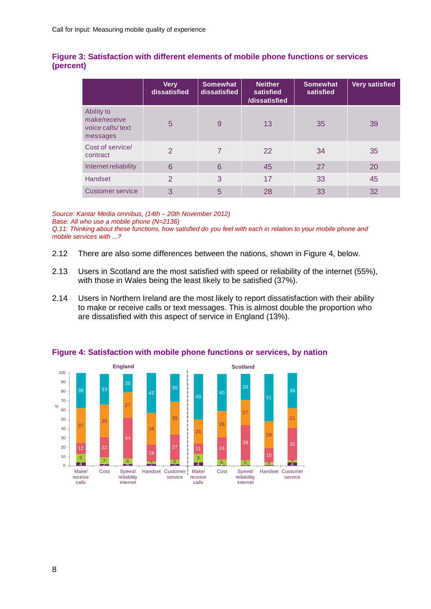#### **Figure 3: Satisfaction with different elements of mobile phone functions or services (percent)**

|                                                            | <b>Very</b><br>dissatisfied | <b>Somewhat</b><br>dissatisfied | <b>Neither</b><br>satisfied<br>/dissatisfied | <b>Somewhat</b><br>satisfied | <b>Very satisfied</b> |
|------------------------------------------------------------|-----------------------------|---------------------------------|----------------------------------------------|------------------------------|-----------------------|
| Ability to<br>make/receive<br>voice calls/text<br>messages | 5                           | 9                               | 13                                           | 35                           | 39                    |
| Cost of service/<br>contract                               | $\mathcal{P}$               |                                 | 22                                           | 34                           | 35                    |
| Internet reliability                                       | 6                           | 6                               | 45                                           | 27                           | 20                    |
| Handset                                                    | $\overline{2}$              | 3                               | 17                                           | 33                           | 45                    |
| <b>Customer service</b>                                    | 3                           | 5                               | 28                                           | 33                           | 32                    |

*Source: Kantar Media omnibus, (14th – 20th November 2012)* 

*Base: All who use a mobile phone (N=2136)*

*Q.11: Thinking about these functions, how satisfied do you feel with each in relation to your mobile phone and mobile services with ...?*

- 2.12 There are also some differences between the nations, shown in Figure 4, below.
- 2.13 Users in Scotland are the most satisfied with speed or reliability of the internet (55%), with those in Wales being the least likely to be satisfied (37%).
- 2.14 Users in Northern Ireland are the most likely to report dissatisfaction with their ability to make or receive calls or text messages. This is almost double the proportion who are dissatisfied with this aspect of service in England (13%).



**Figure 4: Satisfaction with mobile phone functions or services, by nation**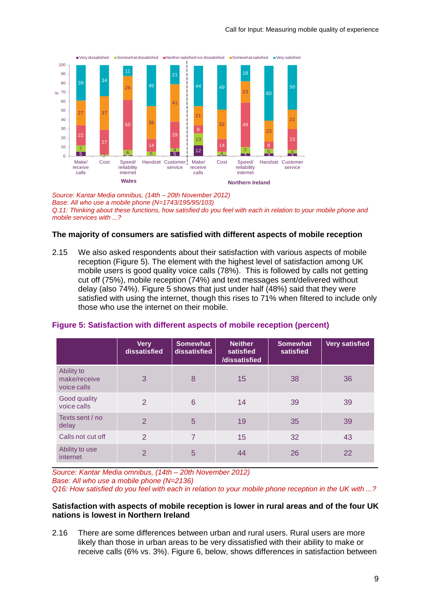

*Source: Kantar Media omnibus, (14th – 20th November 2012) Base: All who use a mobile phone (N=1743/195/95/103) Q.11: Thinking about these functions, how satisfied do you feel with each in relation to your mobile phone and mobile services with ...?*

#### **The majority of consumers are satisfied with different aspects of mobile reception**

2.15 We also asked respondents about their satisfaction with various aspects of mobile reception (Figure 5). The element with the highest level of satisfaction among UK mobile users is good quality voice calls (78%). This is followed by calls not getting cut off (75%), mobile reception (74%) and text messages sent/delivered without delay (also 74%). Figure 5 shows that just under half (48%) said that they were satisfied with using the internet, though this rises to 71% when filtered to include only those who use the internet on their mobile.

|                                           | <b>Very</b><br>dissatisfied | <b>Somewhat</b><br>dissatisfied | <b>Neither</b><br>satisfied<br>/dissatisfied | <b>Somewhat</b><br>satisfied | <b>Very satisfied</b> |
|-------------------------------------------|-----------------------------|---------------------------------|----------------------------------------------|------------------------------|-----------------------|
| Ability to<br>make/receive<br>voice calls | 3                           | 8                               | 15                                           | 38                           | 36                    |
| Good quality<br>voice calls               | $\overline{2}$              | 6                               | 14                                           | 39                           | 39                    |
| Texts sent / no<br>delay                  | $\overline{2}$              | 5                               | 19                                           | 35                           | 39                    |
| Calls not cut off                         | 2                           | 7                               | 15                                           | 32                           | 43                    |
| Ability to use<br><i>internet</i>         | $\overline{2}$              | 5                               | 44                                           | 26                           | 22                    |

#### **Figure 5: Satisfaction with different aspects of mobile reception (percent)**

*Source: Kantar Media omnibus, (14th – 20th November 2012)*

*Base: All who use a mobile phone (N=2136)*

*Q16: How satisfied do you feel with each in relation to your mobile phone reception in the UK with ...?*

#### **Satisfaction with aspects of mobile reception is lower in rural areas and of the four UK nations is lowest in Northern Ireland**

2.16 There are some differences between urban and rural users. Rural users are more likely than those in urban areas to be very dissatisfied with their ability to make or receive calls (6% vs. 3%). Figure 6, below, shows differences in satisfaction between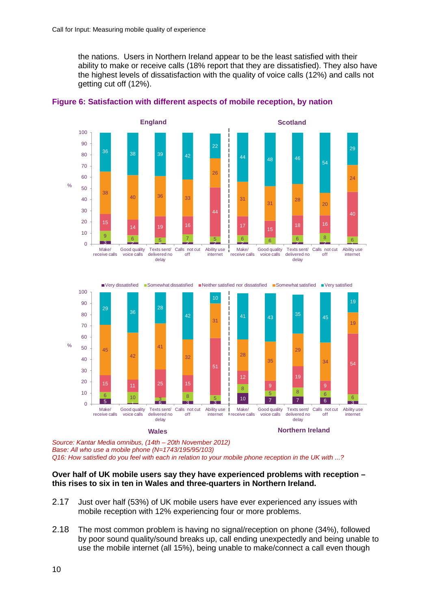the nations. Users in Northern Ireland appear to be the least satisfied with their ability to make or receive calls (18% report that they are dissatisfied). They also have the highest levels of dissatisfaction with the quality of voice calls (12%) and calls not getting cut off (12%).



**Figure 6: Satisfaction with different aspects of mobile reception, by nation**

Make/ receive calls Good quality voice calls delivered no delay off Ability use internet Make/ **receive calls** Good quality voice calls Texts sent/ Calls not cut delivered no delay off Ability use internet **Wales Northern Ireland**

*Source: Kantar Media omnibus, (14th – 20th November 2012) Base: All who use a mobile phone (N=1743/195/95/103) Q16: How satisfied do you feel with each in relation to your mobile phone reception in the UK with ...?*

#### **Over half of UK mobile users say they have experienced problems with reception – this rises to six in ten in Wales and three-quarters in Northern Ireland.**

- 2.17 Just over half (53%) of UK mobile users have ever experienced any issues with mobile reception with 12% experiencing four or more problems.
- 2.18 The most common problem is having no signal/reception on phone (34%), followed by poor sound quality/sound breaks up, call ending unexpectedly and being unable to use the mobile internet (all 15%), being unable to make/connect a call even though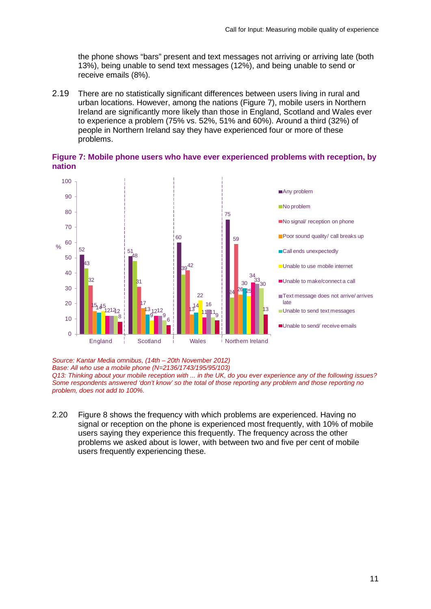the phone shows "bars" present and text messages not arriving or arriving late (both 13%), being unable to send text messages (12%), and being unable to send or receive emails (8%).

2.19 There are no statistically significant differences between users living in rural and urban locations. However, among the nations (Figure 7), mobile users in Northern Ireland are significantly more likely than those in England, Scotland and Wales ever to experience a problem (75% vs. 52%, 51% and 60%). Around a third (32%) of people in Northern Ireland say they have experienced four or more of these problems.





*Source: Kantar Media omnibus, (14th – 20th November 2012) Base: All who use a mobile phone (N=2136/1743/195/95/103) Q13: Thinking about your mobile reception with ... in the UK, do you ever experience any of the following issues? Some respondents answered 'don't know' so the total of those reporting any problem and those reporting no problem, does not add to 100%.*

2.20 Figure 8 shows the frequency with which problems are experienced. Having no signal or reception on the phone is experienced most frequently, with 10% of mobile users saying they experience this frequently. The frequency across the other problems we asked about is lower, with between two and five per cent of mobile users frequently experiencing these.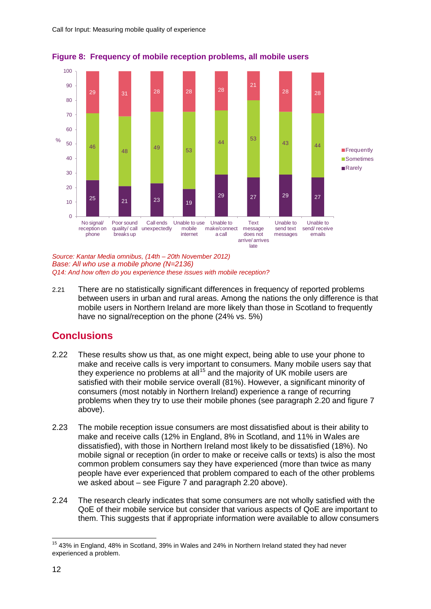

**Figure 8: Frequency of mobile reception problems, all mobile users**

*Source: Kantar Media omnibus, (14th – 20th November 2012) Base: All who use a mobile phone (N=2136) Q14: And how often do you experience these issues with mobile reception?*

2.21 There are no statistically significant differences in frequency of reported problems between users in urban and rural areas. Among the nations the only difference is that mobile users in Northern Ireland are more likely than those in Scotland to frequently have no signal/reception on the phone (24% vs. 5%)

## **Conclusions**

- 2.22 These results show us that, as one might expect, being able to use your phone to make and receive calls is very important to consumers. Many mobile users say that they experience no problems at all<sup>[15](#page-14-0)</sup> and the majority of UK mobile users are satisfied with their mobile service overall (81%). However, a significant minority of consumers (most notably in Northern Ireland) experience a range of recurring problems when they try to use their mobile phones (see paragraph 2.20 and figure 7 above).
- 2.23 The mobile reception issue consumers are most dissatisfied about is their ability to make and receive calls (12% in England, 8% in Scotland, and 11% in Wales are dissatisfied), with those in Northern Ireland most likely to be dissatisfied (18%). No mobile signal or reception (in order to make or receive calls or texts) is also the most common problem consumers say they have experienced (more than twice as many people have ever experienced that problem compared to each of the other problems we asked about – see Figure 7 and paragraph 2.20 above).
- 2.24 The research clearly indicates that some consumers are not wholly satisfied with the QoE of their mobile service but consider that various aspects of QoE are important to them. This suggests that if appropriate information were available to allow consumers

<span id="page-14-0"></span> <sup>15</sup> 43% in England, 48% in Scotland, 39% in Wales and 24% in Northern Ireland stated they had never experienced a problem.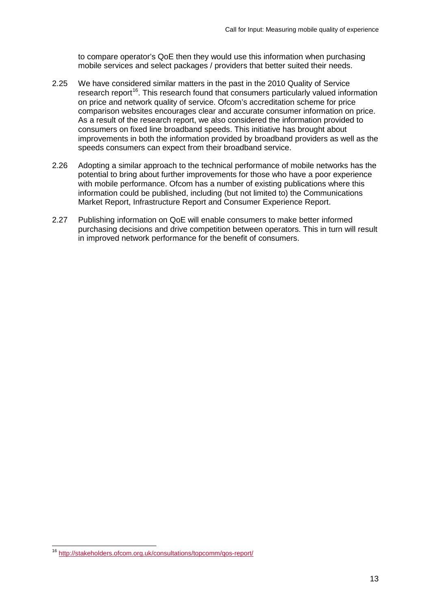to compare operator's QoE then they would use this information when purchasing mobile services and select packages / providers that better suited their needs.

- 2.25 We have considered similar matters in the past in the 2010 Quality of Service research report<sup>16</sup>. This research found that consumers particularly valued information on price and network quality of service. Ofcom's accreditation scheme for price comparison websites encourages clear and accurate consumer information on price. As a result of the research report, we also considered the information provided to consumers on fixed line broadband speeds. This initiative has brought about improvements in both the information provided by broadband providers as well as the speeds consumers can expect from their broadband service.
- 2.26 Adopting a similar approach to the technical performance of mobile networks has the potential to bring about further improvements for those who have a poor experience with mobile performance. Ofcom has a number of existing publications where this information could be published, including (but not limited to) the Communications Market Report, Infrastructure Report and Consumer Experience Report.
- 2.27 Publishing information on QoE will enable consumers to make better informed purchasing decisions and drive competition between operators. This in turn will result in improved network performance for the benefit of consumers.

<span id="page-15-0"></span> <sup>16</sup> <http://stakeholders.ofcom.org.uk/consultations/topcomm/qos-report/>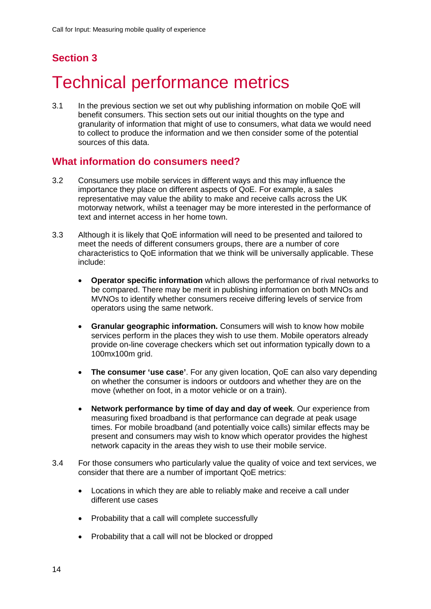## **Section 3**

# <span id="page-16-0"></span>**Technical performance metrics**

3.1 In the previous section we set out why publishing information on mobile QoE will benefit consumers. This section sets out our initial thoughts on the type and granularity of information that might of use to consumers, what data we would need to collect to produce the information and we then consider some of the potential sources of this data.

## **What information do consumers need?**

- 3.2 Consumers use mobile services in different ways and this may influence the importance they place on different aspects of QoE. For example, a sales representative may value the ability to make and receive calls across the UK motorway network, whilst a teenager may be more interested in the performance of text and internet access in her home town.
- 3.3 Although it is likely that QoE information will need to be presented and tailored to meet the needs of different consumers groups, there are a number of core characteristics to QoE information that we think will be universally applicable. These include:
	- **Operator specific information** which allows the performance of rival networks to be compared. There may be merit in publishing information on both MNOs and MVNOs to identify whether consumers receive differing levels of service from operators using the same network.
	- **Granular geographic information.** Consumers will wish to know how mobile services perform in the places they wish to use them. Mobile operators already provide on-line coverage checkers which set out information typically down to a 100mx100m grid.
	- **The consumer 'use case'**. For any given location, QoE can also vary depending on whether the consumer is indoors or outdoors and whether they are on the move (whether on foot, in a motor vehicle or on a train).
	- **Network performance by time of day and day of week**. Our experience from measuring fixed broadband is that performance can degrade at peak usage times. For mobile broadband (and potentially voice calls) similar effects may be present and consumers may wish to know which operator provides the highest network capacity in the areas they wish to use their mobile service.
- 3.4 For those consumers who particularly value the quality of voice and text services, we consider that there are a number of important QoE metrics:
	- Locations in which they are able to reliably make and receive a call under different use cases
	- Probability that a call will complete successfully
	- Probability that a call will not be blocked or dropped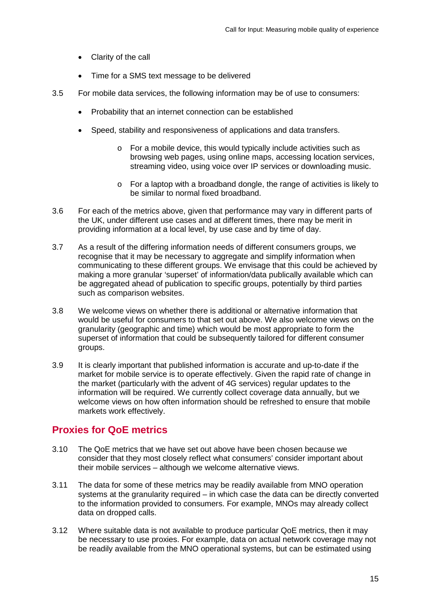- Clarity of the call
- Time for a SMS text message to be delivered
- 3.5 For mobile data services, the following information may be of use to consumers:
	- Probability that an internet connection can be established
	- Speed, stability and responsiveness of applications and data transfers.
		- $\circ$  For a mobile device, this would typically include activities such as browsing web pages, using online maps, accessing location services, streaming video, using voice over IP services or downloading music.
		- o For a laptop with a broadband dongle, the range of activities is likely to be similar to normal fixed broadband.
- 3.6 For each of the metrics above, given that performance may vary in different parts of the UK, under different use cases and at different times, there may be merit in providing information at a local level, by use case and by time of day.
- 3.7 As a result of the differing information needs of different consumers groups, we recognise that it may be necessary to aggregate and simplify information when communicating to these different groups. We envisage that this could be achieved by making a more granular 'superset' of information/data publically available which can be aggregated ahead of publication to specific groups, potentially by third parties such as comparison websites.
- 3.8 We welcome views on whether there is additional or alternative information that would be useful for consumers to that set out above. We also welcome views on the granularity (geographic and time) which would be most appropriate to form the superset of information that could be subsequently tailored for different consumer groups.
- 3.9 It is clearly important that published information is accurate and up-to-date if the market for mobile service is to operate effectively. Given the rapid rate of change in the market (particularly with the advent of 4G services) regular updates to the information will be required. We currently collect coverage data annually, but we welcome views on how often information should be refreshed to ensure that mobile markets work effectively.

## **Proxies for QoE metrics**

- 3.10 The QoE metrics that we have set out above have been chosen because we consider that they most closely reflect what consumers' consider important about their mobile services – although we welcome alternative views.
- 3.11 The data for some of these metrics may be readily available from MNO operation systems at the granularity required – in which case the data can be directly converted to the information provided to consumers. For example, MNOs may already collect data on dropped calls.
- 3.12 Where suitable data is not available to produce particular QoE metrics, then it may be necessary to use proxies. For example, data on actual network coverage may not be readily available from the MNO operational systems, but can be estimated using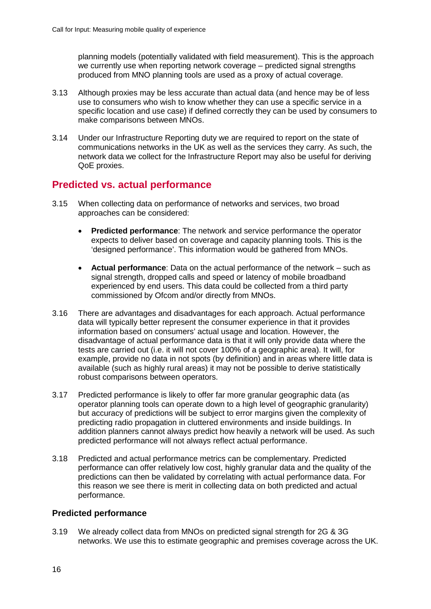planning models (potentially validated with field measurement). This is the approach we currently use when reporting network coverage – predicted signal strengths produced from MNO planning tools are used as a proxy of actual coverage.

- 3.13 Although proxies may be less accurate than actual data (and hence may be of less use to consumers who wish to know whether they can use a specific service in a specific location and use case) if defined correctly they can be used by consumers to make comparisons between MNOs.
- 3.14 Under our Infrastructure Reporting duty we are required to report on the state of communications networks in the UK as well as the services they carry. As such, the network data we collect for the Infrastructure Report may also be useful for deriving QoE proxies.

## **Predicted vs. actual performance**

- 3.15 When collecting data on performance of networks and services, two broad approaches can be considered:
	- **Predicted performance**: The network and service performance the operator expects to deliver based on coverage and capacity planning tools. This is the 'designed performance'. This information would be gathered from MNOs.
	- **Actual performance**: Data on the actual performance of the network such as signal strength, dropped calls and speed or latency of mobile broadband experienced by end users. This data could be collected from a third party commissioned by Ofcom and/or directly from MNOs.
- 3.16 There are advantages and disadvantages for each approach. Actual performance data will typically better represent the consumer experience in that it provides information based on consumers' actual usage and location. However, the disadvantage of actual performance data is that it will only provide data where the tests are carried out (i.e. it will not cover 100% of a geographic area). It will, for example, provide no data in not spots (by definition) and in areas where little data is available (such as highly rural areas) it may not be possible to derive statistically robust comparisons between operators.
- 3.17 Predicted performance is likely to offer far more granular geographic data (as operator planning tools can operate down to a high level of geographic granularity) but accuracy of predictions will be subject to error margins given the complexity of predicting radio propagation in cluttered environments and inside buildings. In addition planners cannot always predict how heavily a network will be used. As such predicted performance will not always reflect actual performance.
- 3.18 Predicted and actual performance metrics can be complementary. Predicted performance can offer relatively low cost, highly granular data and the quality of the predictions can then be validated by correlating with actual performance data. For this reason we see there is merit in collecting data on both predicted and actual performance.

#### **Predicted performance**

3.19 We already collect data from MNOs on predicted signal strength for 2G & 3G networks. We use this to estimate geographic and premises coverage across the UK.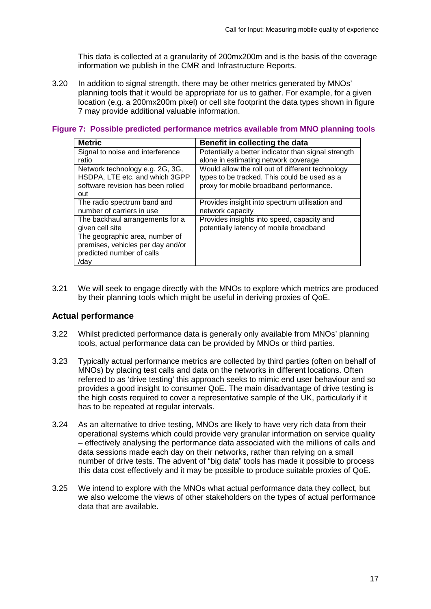This data is collected at a granularity of 200mx200m and is the basis of the coverage information we publish in the CMR and Infrastructure Reports.

3.20 In addition to signal strength, there may be other metrics generated by MNOs' planning tools that it would be appropriate for us to gather. For example, for a given location (e.g. a 200mx200m pixel) or cell site footprint the data types shown in figure 7 may provide additional valuable information.

#### **Figure 7: Possible predicted performance metrics available from MNO planning tools**

| <b>Metric</b>                     | Benefit in collecting the data                      |
|-----------------------------------|-----------------------------------------------------|
| Signal to noise and interference  | Potentially a better indicator than signal strength |
| ratio                             | alone in estimating network coverage                |
| Network technology e.g. 2G, 3G,   | Would allow the roll out of different technology    |
| HSDPA, LTE etc. and which 3GPP    | types to be tracked. This could be used as a        |
| software revision has been rolled | proxy for mobile broadband performance.             |
| out                               |                                                     |
| The radio spectrum band and       | Provides insight into spectrum utilisation and      |
| number of carriers in use         | network capacity                                    |
| The backhaul arrangements for a   | Provides insights into speed, capacity and          |
| given cell site                   | potentially latency of mobile broadband             |
| The geographic area, number of    |                                                     |
| premises, vehicles per day and/or |                                                     |
| predicted number of calls         |                                                     |
| /day                              |                                                     |

3.21 We will seek to engage directly with the MNOs to explore which metrics are produced by their planning tools which might be useful in deriving proxies of QoE.

#### **Actual performance**

- 3.22 Whilst predicted performance data is generally only available from MNOs' planning tools, actual performance data can be provided by MNOs or third parties.
- 3.23 Typically actual performance metrics are collected by third parties (often on behalf of MNOs) by placing test calls and data on the networks in different locations. Often referred to as 'drive testing' this approach seeks to mimic end user behaviour and so provides a good insight to consumer QoE. The main disadvantage of drive testing is the high costs required to cover a representative sample of the UK, particularly if it has to be repeated at regular intervals.
- 3.24 As an alternative to drive testing, MNOs are likely to have very rich data from their operational systems which could provide very granular information on service quality – effectively analysing the performance data associated with the millions of calls and data sessions made each day on their networks, rather than relying on a small number of drive tests. The advent of "big data" tools has made it possible to process this data cost effectively and it may be possible to produce suitable proxies of QoE.
- 3.25 We intend to explore with the MNOs what actual performance data they collect, but we also welcome the views of other stakeholders on the types of actual performance data that are available.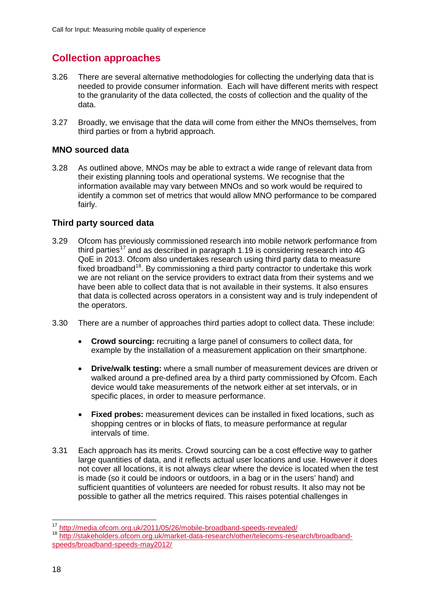## **Collection approaches**

- 3.26 There are several alternative methodologies for collecting the underlying data that is needed to provide consumer information. Each will have different merits with respect to the granularity of the data collected, the costs of collection and the quality of the data.
- 3.27 Broadly, we envisage that the data will come from either the MNOs themselves, from third parties or from a hybrid approach.

#### **MNO sourced data**

3.28 As outlined above, MNOs may be able to extract a wide range of relevant data from their existing planning tools and operational systems. We recognise that the information available may vary between MNOs and so work would be required to identify a common set of metrics that would allow MNO performance to be compared fairly.

#### **Third party sourced data**

- 3.29 Ofcom has previously commissioned research into mobile network performance from third parties<sup>[17](#page-20-0)</sup> and as described in paragraph 1.19 is considering research into  $4G$ QoE in 2013. Ofcom also undertakes research using third party data to measure fixed broadband<sup>[18](#page-20-1)</sup>. By commissioning a third party contractor to undertake this work we are not reliant on the service providers to extract data from their systems and we have been able to collect data that is not available in their systems. It also ensures that data is collected across operators in a consistent way and is truly independent of the operators.
- 3.30 There are a number of approaches third parties adopt to collect data. These include:
	- **Crowd sourcing:** recruiting a large panel of consumers to collect data, for example by the installation of a measurement application on their smartphone.
	- **Drive/walk testing:** where a small number of measurement devices are driven or walked around a pre-defined area by a third party commissioned by Ofcom. Each device would take measurements of the network either at set intervals, or in specific places, in order to measure performance.
	- **Fixed probes:** measurement devices can be installed in fixed locations, such as shopping centres or in blocks of flats, to measure performance at regular intervals of time.
- 3.31 Each approach has its merits. Crowd sourcing can be a cost effective way to gather large quantities of data, and it reflects actual user locations and use. However it does not cover all locations, it is not always clear where the device is located when the test is made (so it could be indoors or outdoors, in a bag or in the users' hand) and sufficient quantities of volunteers are needed for robust results. It also may not be possible to gather all the metrics required. This raises potential challenges in

<span id="page-20-0"></span> <sup>17</sup> <http://media.ofcom.org.uk/2011/05/26/mobile-broadband-speeds-revealed/>

<span id="page-20-1"></span><sup>18</sup> [http://stakeholders.ofcom.org.uk/market-data-research/other/telecoms-research/broadband](http://stakeholders.ofcom.org.uk/market-data-research/other/telecoms-research/broadband-speeds/broadband-speeds-may2012/)[speeds/broadband-speeds-may2012/](http://stakeholders.ofcom.org.uk/market-data-research/other/telecoms-research/broadband-speeds/broadband-speeds-may2012/)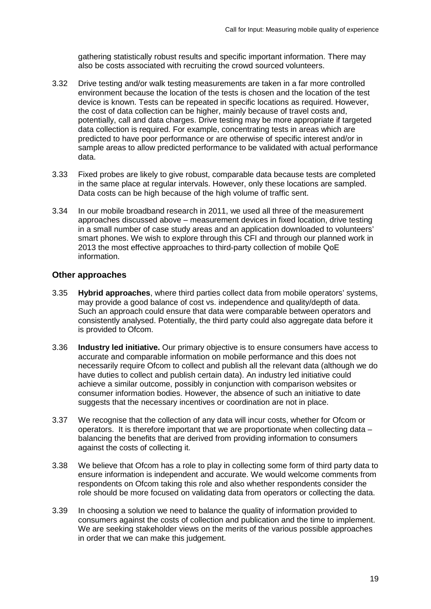gathering statistically robust results and specific important information. There may also be costs associated with recruiting the crowd sourced volunteers.

- 3.32 Drive testing and/or walk testing measurements are taken in a far more controlled environment because the location of the tests is chosen and the location of the test device is known. Tests can be repeated in specific locations as required. However, the cost of data collection can be higher, mainly because of travel costs and, potentially, call and data charges. Drive testing may be more appropriate if targeted data collection is required. For example, concentrating tests in areas which are predicted to have poor performance or are otherwise of specific interest and/or in sample areas to allow predicted performance to be validated with actual performance data.
- 3.33 Fixed probes are likely to give robust, comparable data because tests are completed in the same place at regular intervals. However, only these locations are sampled. Data costs can be high because of the high volume of traffic sent.
- 3.34 In our mobile broadband research in 2011, we used all three of the measurement approaches discussed above – measurement devices in fixed location, drive testing in a small number of case study areas and an application downloaded to volunteers' smart phones. We wish to explore through this CFI and through our planned work in 2013 the most effective approaches to third-party collection of mobile QoE information.

#### **Other approaches**

- 3.35 **Hybrid approaches**, where third parties collect data from mobile operators' systems, may provide a good balance of cost vs. independence and quality/depth of data. Such an approach could ensure that data were comparable between operators and consistently analysed. Potentially, the third party could also aggregate data before it is provided to Ofcom.
- 3.36 **Industry led initiative.** Our primary objective is to ensure consumers have access to accurate and comparable information on mobile performance and this does not necessarily require Ofcom to collect and publish all the relevant data (although we do have duties to collect and publish certain data). An industry led initiative could achieve a similar outcome, possibly in conjunction with comparison websites or consumer information bodies. However, the absence of such an initiative to date suggests that the necessary incentives or coordination are not in place.
- 3.37 We recognise that the collection of any data will incur costs, whether for Ofcom or operators. It is therefore important that we are proportionate when collecting data – balancing the benefits that are derived from providing information to consumers against the costs of collecting it.
- 3.38 We believe that Ofcom has a role to play in collecting some form of third party data to ensure information is independent and accurate. We would welcome comments from respondents on Ofcom taking this role and also whether respondents consider the role should be more focused on validating data from operators or collecting the data.
- 3.39 In choosing a solution we need to balance the quality of information provided to consumers against the costs of collection and publication and the time to implement. We are seeking stakeholder views on the merits of the various possible approaches in order that we can make this judgement.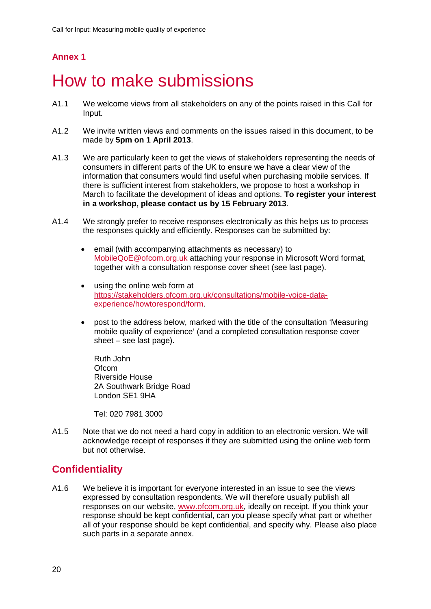## **Annex 1**

## <span id="page-22-0"></span>How to make submissions

- A1.1 We welcome views from all stakeholders on any of the points raised in this Call for Input.
- A1.2 We invite written views and comments on the issues raised in this document, to be made by **5pm on 1 April 2013**.
- A1.3 We are particularly keen to get the views of stakeholders representing the needs of consumers in different parts of the UK to ensure we have a clear view of the information that consumers would find useful when purchasing mobile services. If there is sufficient interest from stakeholders, we propose to host a workshop in March to facilitate the development of ideas and options. **To register your interest in a workshop, please contact us by 15 February 2013**.
- A1.4 We strongly prefer to receive responses electronically as this helps us to process the responses quickly and efficiently. Responses can be submitted by:
	- email (with accompanying attachments as necessary) to [MobileQoE@ofcom.org.uk](mailto:MobileQoE@ofcom.org.uk) attaching your response in Microsoft Word format, together with a consultation response cover sheet (see last page).
	- using the online web form at [https://stakeholders.ofcom.org.uk/consultations/mobile-voice-data](https://stakeholders.ofcom.org.uk/consultations/mobile-voice-data-experience/howtorespond/form)[experience/howtorespond/form.](https://stakeholders.ofcom.org.uk/consultations/mobile-voice-data-experience/howtorespond/form)
	- post to the address below, marked with the title of the consultation 'Measuring mobile quality of experience' (and a completed consultation response cover sheet – see last page).

Ruth John **Ofcom** Riverside House 2A Southwark Bridge Road London SE1 9HA

Tel: 020 7981 3000

A1.5 Note that we do not need a hard copy in addition to an electronic version. We will acknowledge receipt of responses if they are submitted using the online web form but not otherwise.

## **Confidentiality**

A1.6 We believe it is important for everyone interested in an issue to see the views expressed by consultation respondents. We will therefore usually publish all responses on our website, [www.ofcom.org.uk,](http://www.ofcom.org.uk/) ideally on receipt. If you think your response should be kept confidential, can you please specify what part or whether all of your response should be kept confidential, and specify why. Please also place such parts in a separate annex.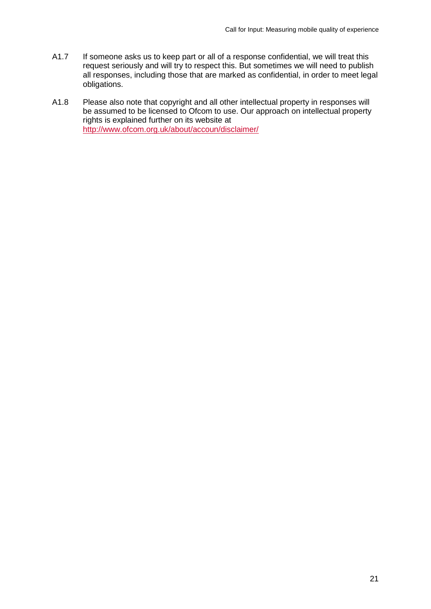- A1.7 If someone asks us to keep part or all of a response confidential, we will treat this request seriously and will try to respect this. But sometimes we will need to publish all responses, including those that are marked as confidential, in order to meet legal obligations.
- A1.8 Please also note that copyright and all other intellectual property in responses will be assumed to be licensed to Ofcom to use. Our approach on intellectual property rights is explained further on its website at <http://www.ofcom.org.uk/about/accoun/disclaimer/>